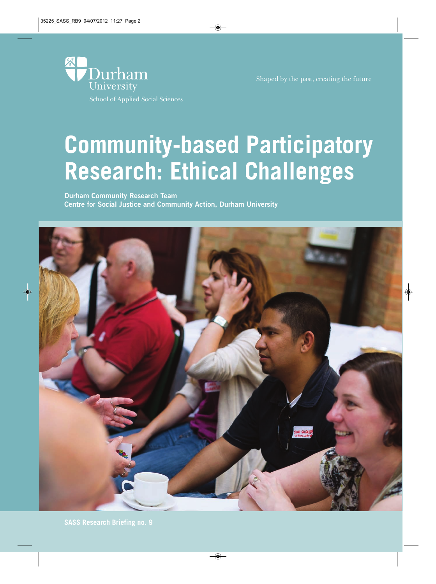

Shaped by the past, creating the future

# **Community-based Participatory Research: Ethical Challenges**

**Centre for Social Justice and Community Action, Durham University**

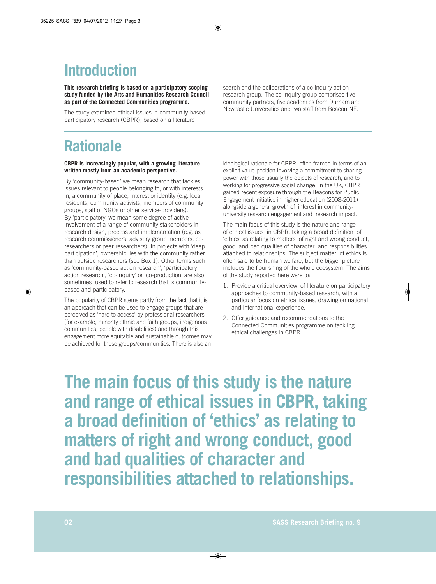# **Introduction**

**This research briefing is based on a participatory scoping study funded by the Arts and Humanities Research Council as part of the Connected Communities programme.**

The study examined ethical issues in community-based participatory research (CBPR), based on a literature

search and the deliberations of a co-inquiry action research group. The co-inquiry group comprised five community partners, five academics from Durham and Newcastle Universities and two staff from Beacon NE.

## **Rationale**

#### **CBPR is increasingly popular, with a growing literature written mostly from an academic perspective.**

By 'community-based' we mean research that tackles issues relevant to people belonging to, or with interests in, a community of place, interest or identity (e.g. local residents, community activists, members of community groups, staff of NGOs or other service-providers). By 'participatory' we mean some degree of active involvement of a range of community stakeholders in research design, process and implementation (e.g. as research commissioners, advisory group members, coresearchers or peer researchers). In projects with 'deep participation', ownership lies with the community rather than outside researchers (see Box 1). Other terms such as 'community-based action research', 'participatory action research', 'co-inquiry' or 'co-production' are also sometimes used to refer to research that is communitybased and participatory.

The popularity of CBPR stems partly from the fact that it is an approach that can be used to engage groups that are perceived as 'hard to access' by professional researchers (for example, minority ethnic and faith groups, indigenous communities, people with disabilities) and through this engagement more equitable and sustainable outcomes may be achieved for those groups/communities. There is also an

ideological rationale for CBPR, often framed in terms of an explicit value position involving a commitment to sharing power with those usually the objects of research, and to working for progressive social change. In the UK, CBPR gained recent exposure through the Beacons for Public Engagement initiative in higher education (2008-2011) alongside a general growth of interest in communityuniversity research engagement and research impact.

The main focus of this study is the nature and range of ethical issues in CBPR, taking a broad definition of 'ethics' as relating to matters of right and wrong conduct, good and bad qualities of character and responsibilities attached to relationships. The subject matter of ethics is often said to be human welfare, but the bigger picture includes the flourishing of the whole ecosystem. The aims of the study reported here were to:

- 1. Provide a critical overview of literature on participatory approaches to community-based research, with a particular focus on ethical issues, drawing on national and international experience.
- 2. Offer guidance and recommendations to the Connected Communities programme on tackling ethical challenges in CBPR.

**The main focus of this study is the nature and range of ethical issues in CBPR, taking a broad definition of 'ethics' as relating to matters of right and wrong conduct, good and bad qualities of character and responsibilities attached to relationships.**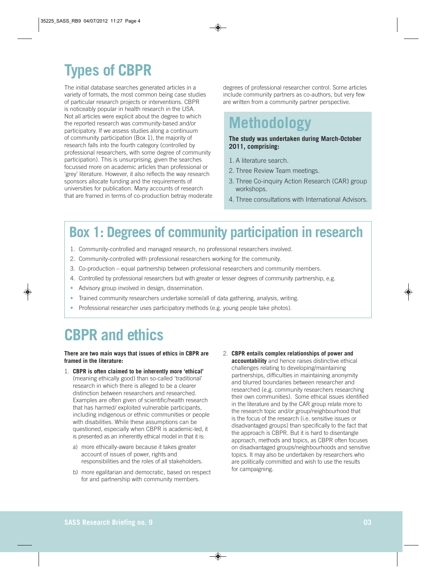# **Types of CBPR**

The initial database searches generated articles in a variety of formats, the most common being case studies of particular research projects or interventions. CBPR is noticeably popular in health research in the USA. Not all articles were explicit about the degree to which the reported research was community-based and/or participatory. If we assess studies along a continuum of community participation (Box 1), the majority of research falls into the fourth category (controlled by professional researchers, with some degree of community participation). This is unsurprising, given the searches focussed more on academic articles than professional or 'grey' literature. However, it also reflects the way research sponsors allocate funding and the requirements of universities for publication. Many accounts of research that are framed in terms of co-production betray moderate degrees of professional researcher control. Some articles include community partners as co-authors, but very few are written from a community partner perspective.

### **Methodology**

#### **The study was undertaken during March-October 2011, comprising:**

- 1. A literature search.
- 2. Three Review Team meetings.
- 3. Three Co-inquiry Action Research (CAR) group workshops.
- 4. Three consultations with International Advisors.

#### **Box 1: Degrees of community participation in research**

- 1. Community-controlled and managed research, no professional researchers involved.
- 2. Community-controlled with professional researchers working for the community.
- 3. Co-production equal partnership between professional researchers and community members.
- 4. Controlled by professional researchers but with greater or lesser degrees of community partnership, e.g.
- Advisory group involved in design, dissemination.
- Trained community researchers undertake some/all of data gathering, analysis, writing.
- Professional researcher uses participatory methods (e.g. young people take photos).

### **CBPR and ethics**

#### **There are two main ways that issues of ethics in CBPR are framed in the literature:**

- 1. **CBPR is often claimed to be inherently more 'ethical'** (meaning ethically good) than so-called 'traditional' research in which there is alleged to be a clearer distinction between researchers and researched. Examples are often given of scientific/health research that has harmed/ exploited vulnerable participants, including indigenous or ethnic communities or people with disabilities. While these assumptions can be questioned, especially when CBPR is academic-led, it is presented as an inherently ethical model in that it is:
	- a) more ethically-aware because it takes greater account of issues of power, rights and responsibilities and the roles of all stakeholders.
	- b) more egalitarian and democratic, based on respect for and partnership with community members.
- 2. **CBPR entails complex relationships of power and accountability** and hence raises distinctive ethical challenges relating to developing/maintaining partnerships, difficulties in maintaining anonymity and blurred boundaries between researcher and researched (e.g. community researchers researching their own communities). Some ethical issues identified in the literature and by the CAR group relate more to the research topic and/or group/neighbourhood that is the focus of the research (i.e. sensitive issues or disadvantaged groups) than specifically to the fact that the approach is CBPR. But it is hard to disentangle approach, methods and topics, as CBPR often focuses on disadvantaged groups/neighbourhoods and sensitive topics. It may also be undertaken by researchers who are politically committed and wish to use the results for campaigning.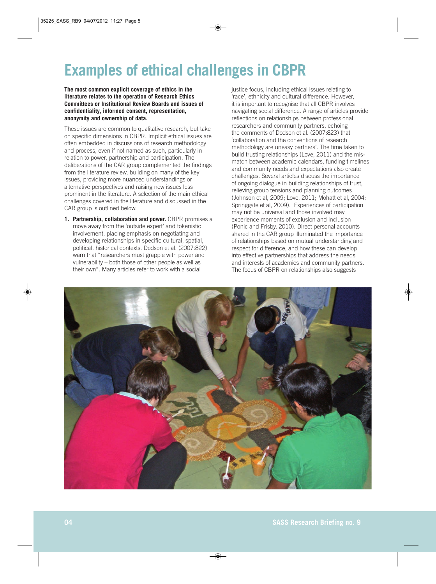## **Examples of ethical challenges in CBPR**

**The most common explicit coverage of ethics in the literature relates to the operation of Research Ethics Committees or Institutional Review Boards and issues of confidentiality, informed consent, representation, anonymity and ownership of data.** 

These issues are common to qualitative research, but take on specific dimensions in CBPR. Implicit ethical issues are often embedded in discussions of research methodology and process, even if not named as such, particularly in relation to power, partnership and participation. The deliberations of the CAR group complemented the findings from the literature review, building on many of the key issues, providing more nuanced understandings or alternative perspectives and raising new issues less prominent in the literature. A selection of the main ethical challenges covered in the literature and discussed in the CAR group is outlined below.

**1. Partnership, collaboration and power.** CBPR promises a move away from the 'outside expert' and tokenistic involvement, placing emphasis on negotiating and developing relationships in specific cultural, spatial, political, historical contexts. Dodson et al. (2007:822) warn that "researchers must grapple with power and vulnerability – both those of other people as well as their own". Many articles refer to work with a social

justice focus, including ethical issues relating to 'race', ethnicity and cultural difference. However, it is important to recognise that all CBPR involves navigating social difference. A range of articles provide reflections on relationships between professional researchers and community partners, echoing the comments of Dodson et al. (2007:823) that 'collaboration and the conventions of research methodology are uneasy partners'. The time taken to build trusting relationships (Love, 2011) and the mismatch between academic calendars, funding timelines and community needs and expectations also create challenges. Several articles discuss the importance of ongoing dialogue in building relationships of trust, relieving group tensions and planning outcomes (Johnson et al, 2009; Love, 2011; Mohatt et al, 2004; Springgate et al, 2009). Experiences of participation may not be universal and those involved may experience moments of exclusion and inclusion (Ponic and Frisby, 2010). Direct personal accounts shared in the CAR group illuminated the importance of relationships based on mutual understanding and respect for difference, and how these can develop into effective partnerships that address the needs and interests of academics and community partners. The focus of CBPR on relationships also suggests

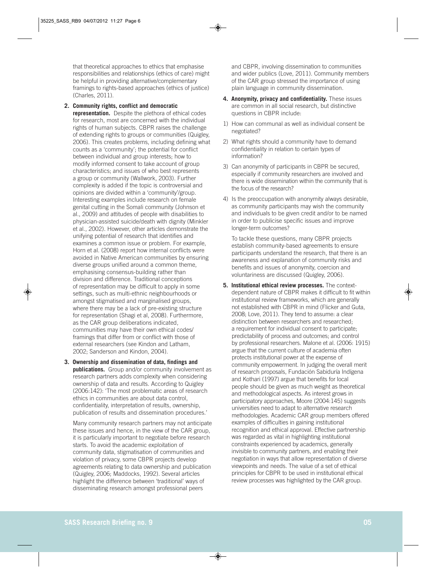that theoretical approaches to ethics that emphasise responsibilities and relationships (ethics of care) might be helpful in providing alternative/complementary framings to rights-based approaches (ethics of justice) (Charles, 2011).

**2. Community rights, conflict and democratic representation.** Despite the plethora of ethical codes for research, most are concerned with the individual rights of human subjects. CBPR raises the challenge of extending rights to groups or communities (Quigley, 2006). This creates problems, including defining what counts as a 'community'; the potential for conflict between individual and group interests; how to modify informed consent to take account of group characteristics; and issues of who best represents a group or community (Wallwork, 2003). Further complexity is added if the topic is controversial and opinions are divided within a 'community'/group. Interesting examples include research on female genital cutting in the Somali community (Johnson et al., 2009) and attitudes of people with disabilities to physician-assisted suicide/death with dignity (Minkler et al., 2002). However, other articles demonstrate the unifying potential of research that identifies and examines a common issue or problem. For example, Horn et al. (2008) report how internal conflicts were avoided in Native American communities by ensuring diverse groups unified around a common theme, emphasising consensus-building rather than division and difference. Traditional conceptions of representation may be difficult to apply in some settings, such as multi-ethnic neighbourhoods or amongst stigmatised and marginalised groups, where there may be a lack of pre-existing structure for representation (Shagi et al, 2008). Furthermore, as the CAR group deliberations indicated, communities may have their own ethical codes/ framings that differ from or conflict with those of external researchers (see Kindon and Latham, 2002; Sanderson and Kindon, 2004).

**3. Ownership and dissemination of data, findings and publications.** Group and/or community involvement as research partners adds complexity when considering ownership of data and results. According to Quigley (2006:142): 'The most problematic areas of research ethics in communities are about data control, confidentiality, interpretation of results, ownership, publication of results and dissemination procedures.'

Many community research partners may not anticipate these issues and hence, in the view of the CAR group, it is particularly important to negotiate before research starts. To avoid the academic exploitation of community data, stigmatisation of communities and violation of privacy, some CBPR projects develop agreements relating to data ownership and publication (Quigley, 2006; Maddocks, 1992). Several articles highlight the difference between 'traditional' ways of disseminating research amongst professional peers

and CBPR, involving dissemination to communities and wider publics (Love, 2011). Community members of the CAR group stressed the importance of using plain language in community dissemination.

- **4. Anonymity, privacy and confidentiality.** These issues are common in all social research, but distinctive questions in CBPR include:
- 1) How can communal as well as individual consent be negotiated?
- 2) What rights should a community have to demand confidentiality in relation to certain types of information?
- 3) Can anonymity of participants in CBPR be secured, especially if community researchers are involved and there is wide dissemination within the community that is the focus of the research?
- 4) Is the preoccupation with anonymity always desirable, as community participants may wish the community and individuals to be given credit and/or to be named in order to publicise specific issues and improve longer-term outcomes?

To tackle these questions, many CBPR projects establish community-based agreements to ensure participants understand the research, that there is an awareness and explanation of community risks and benefits and issues of anonymity, coercion and voluntariness are discussed (Quigley, 2006).

**5. Institutional ethical review processes.** The contextdependent nature of CBPR makes it difficult to fit within institutional review frameworks, which are generally not established with CBPR in mind (Flicker and Guta, 2008; Love, 2011). They tend to assume: a clear distinction between researchers and researched; a requirement for individual consent to participate; predictability of process and outcomes; and control by professional researchers. Malone et al. (2006: 1915) argue that the current culture of academia often protects institutional power at the expense of community empowerment. In judging the overall merit of research proposals, Fundación Sabiduría Indígena and Kothari (1997) argue that benefits for local people should be given as much weight as theoretical and methodological aspects. As interest grows in participatory approaches, Moore (2004:145) suggests universities need to adapt to alternative research methodologies. Academic CAR group members offered examples of difficulties in gaining institutional recognition and ethical approval. Effective partnership was regarded as vital in highlighting institutional constraints experienced by academics, generally invisible to community partners, and enabling their negotiation in ways that allow representation of diverse viewpoints and needs. The value of a set of ethical principles for CBPR to be used in institutional ethical review processes was highlighted by the CAR group.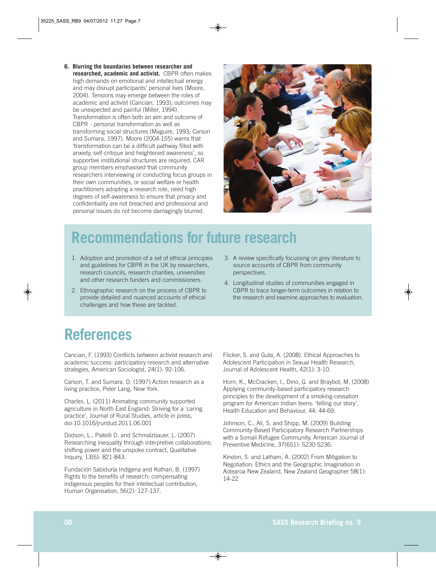**6. Blurring the boundaries between researcher and researched, academic and activist.** CBPR often makes high demands on emotional and intellectual energy and may disrupt participants' personal lives (Moore, 2004). Tensions may emerge between the roles of academic and activist (Cancian, 1993); outcomes may be unexpected and painful (Miller, 1994). Transformation is often both an aim and outcome of CBPR - personal transformation as well as transforming social structures (Maguire, 1993; Carson and Sumara, 1997). Moore (2004:155) warns that 'transformation can be a difficult pathway filled with anxiety, self-critique and heightened awareness', so supportive institutional structures are required. CAR group members emphasised that community researchers interviewing or conducting focus groups in their own communities, or social welfare or health practitioners adopting a research role, need high degrees of self-awareness to ensure that privacy and confidentiality are not breached and professional and personal issues do not become damagingly blurred.



### **Recommendations for future research**

- 1. Adoption and promotion of a set of ethical principles and guidelines for CBPR in the UK by researchers, research councils, research charities, universities and other research funders and commissioners.
- 2. Ethnographic research on the process of CBPR to provide detailed and nuanced accounts of ethical challenges and how these are tackled.
- 3. A review specifically focussing on grey literature to source accounts of CBPR from community perspectives.
- 4. Longitudinal studies of communities engaged in CBPR to trace longer-term outcomes in relation to the research and examine approaches to evaluation.

#### **References**

Cancian, F. (1993) Conflicts between activist research and academic success: participatory research and alternative strategies, American Sociologist, 24(1): 92-106.

Carson, T. and Sumara, D. (1997) Action research as a living practice, Peter Lang, New York.

Charles, L. (2011) Animating community supported agriculture in North East England: Striving for a 'caring practice', Journal of Rural Studies, article in press, doi:10.1016/jrurstud.2011.06.001

Dodson, L., Piatelli D. and Schmalzbauer, L. (2007) Researching inequality through interpretive collaborations: shifting power and the unspoke contract, Qualitative Inquiry, 13(6): 821-843.

Fundación Sabiduría Indígena and Kothari, B. (1997) Rights to the benefits of research: compensating indigenous peoples for their intellectual contribution, Human Organisation, 56(2): 127-137.

Flicker, S. and Guta, A. (2008). Ethical Approaches to Adolescent Participation in Sexual Health Research, Journal of Adolescent Health, 42(1): 3-10.

Horn, K., McCracken, l., Dino, G. and Braybot, M. (2008) Applying community-based participatory research principles to the development of a smoking-cessation program for American Indian teens: 'telling our story', Health Education and Behaviour, 44: 44-69.

Johnson, C., Ali, S. and Shipp, M. (2009) Building Community-Based Participatory Research Partnerships with a Somali Refugee Community, American Journal of Preventive Medicine, 37(6S1): S230-S236.

Kindon, S. and Latham, A. (2002) From Mitigation to Negotiation: Ethics and the Geographic Imagination in Aotearoa New Zealand, New Zealand Geographer 58(1): 14-22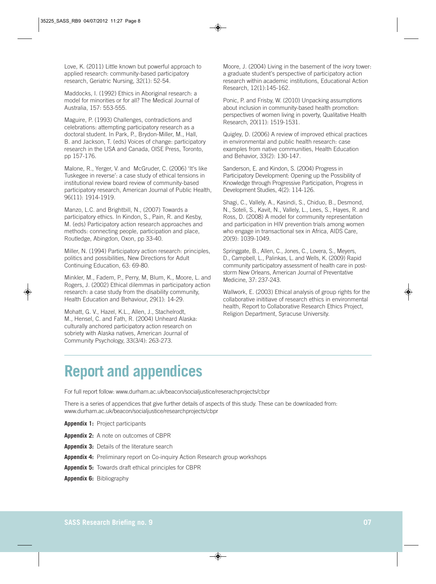Love, K. (2011) Little known but powerful approach to applied research: community-based participatory research, Geriatric Nursing, 32(1): 52-54.

Maddocks, I. (1992) Ethics in Aboriginal research: a model for minorities or for all? The Medical Journal of Australia, 157: 553-555.

Maguire, P. (1993) Challenges, contradictions and celebrations: attempting participatory research as a doctoral student. In Park, P., Brydon-Miller, M., Hall, B. and Jackson, T. (eds) Voices of change: participatory research in the USA and Canada, OISE Press, Toronto, pp 157-176.

Malone, R., Yerger, V. and McGruder, C. (2006) 'It's like Tuskegee in reverse': a case study of ethical tensions in institutional review board review of community-based participatory research, American Journal of Public Health, 96(11): 1914-1919.

Manzo, L.C. and Brightbill, N., (2007) Towards a participatory ethics. In Kindon, S., Pain, R. and Kesby, M. (eds) Participatory action research approaches and methods: connecting people, participation and place, Routledge, Abingdon, Oxon, pp 33-40.

Miller, N. (1994) Participatory action research: principles, politics and possibilities, New Directions for Adult Continuing Education, 63: 69-80.

Minkler, M., Fadem, P., Perry, M, Blum, K., Moore, L. and Rogers, J. (2002) Ethical dilemmas in participatory action research: a case study from the disability community, Health Education and Behaviour, 29(1): 14-29.

Mohatt, G. V., Hazel, K.L., Allen, J., Stachelrodt, M., Hensel, C. and Fath, R. (2004) Unheard Alaska: culturally anchored participatory action research on sobriety with Alaska natives, American Journal of Community Psychology, 33(3/4): 263-273.

Moore, J. (2004) Living in the basement of the ivory tower: a graduate student's perspective of participatory action research within academic institutions, Educational Action Research, 12(1):145-162.

Ponic, P. and Frisby, W. (2010) Unpacking assumptions about inclusion in community-based health promotion: perspectives of women living in poverty, Qualitative Health Research, 20(11): 1519-1531.

Quigley, D. (2006) A review of improved ethical practices in environmental and public health research: case examples from native communities, Health Education and Behavior, 33(2): 130-147.

Sanderson, E. and Kindon, S. (2004) Progress in Participatory Development: Opening up the Possibility of Knowledge through Progressive Participation, Progress in Development Studies, 4(2): 114-126.

Shagi, C., Vallely, A., Kasindi, S., Chiduo, B., Desmond, N., Soteli, S., Kavit, N., Vallely, L., Lees, S., Hayes, R. and Ross, D. (2008) A model for community representation and participation in HIV prevention trials among women who engage in transactional sex in Africa, AIDS Care, 20(9): 1039-1049.

Springgate, B., Allen, C., Jones, C., Lovera, S., Meyers, D., Campbell, L., Palinkas, L. and Wells, K. (2009) Rapid community participatory assessment of health care in poststorm New Orleans, American Journal of Preventative Medicine, 37: 237-243.

Wallwork, E. (2003) Ethical analysis of group rights for the collaborative inititiave of research ethics in environmental health, Report to Collaborative Research Ethics Project, Religion Department, Syracuse University.

#### **Report and appendices**

For full report follow: www.durham.ac.uk/beacon/socialjustice/reserachprojects/cbpr

There is a series of appendices that give further details of aspects of this study. These can be downloaded from: www.durham.ac.uk/beacon/socialjustice/researchprojects/cbpr

**Appendix 1:** Project participants

**Appendix 2:** A note on outcomes of CBPR

**Appendix 3:** Details of the literature search

**Appendix 4:** Preliminary report on Co-inquiry Action Research group workshops

**Appendix 5:** Towards draft ethical principles for CBPR

**Appendix 6:** Bibliography